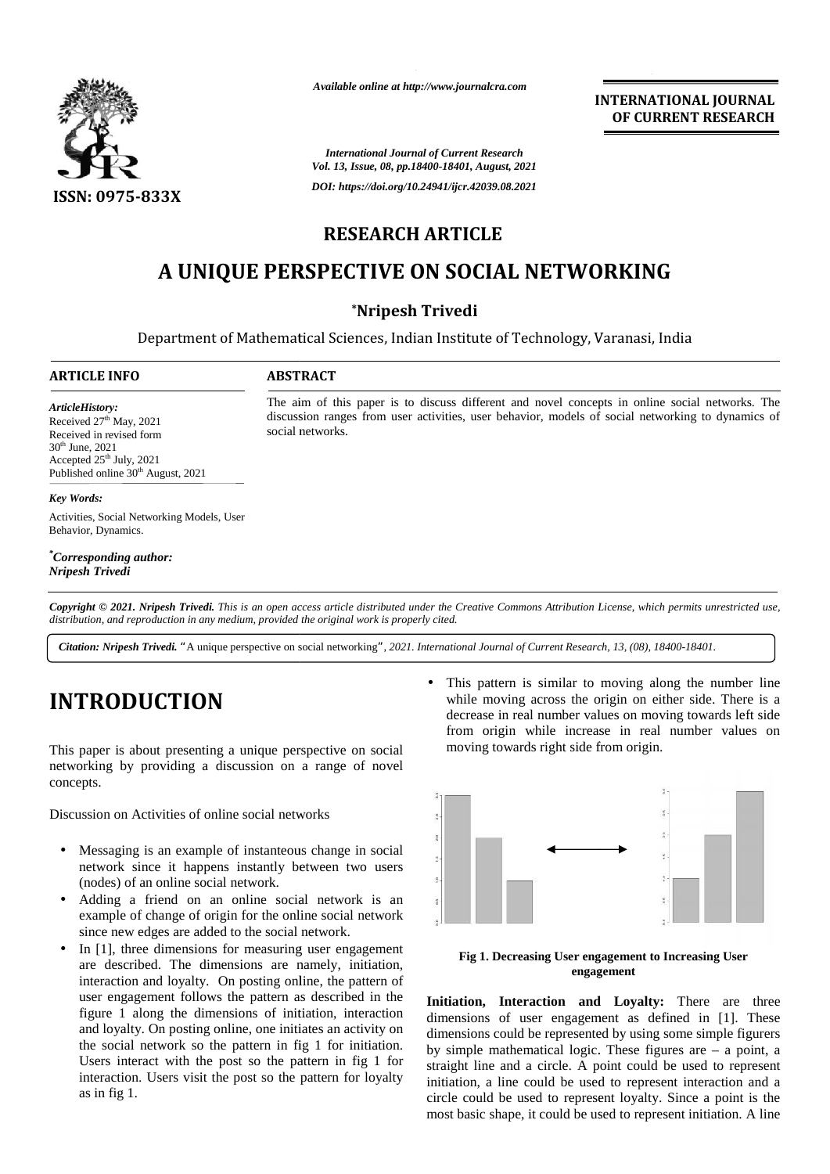

*Available online at http://www.journalcra.com*

**INTERNATIONAL JOURNAL OF CURRENT RESEARCH**

*International Journal of Current Research Vol. 13, Issue, 08, pp.18400-18401, August, 2021 DOI: https://doi.org/10.24941/ijcr.42039.08.2021*

# **RESEARCH ARTICLE**

# **A UNIQUE PERSPECTIVE ON SOCIAL NETWORKING A**

## **\*Nripesh Trivedi**

Department of Mathematical Sciences, Indian Institute of Technology, Varanasi, India

The aim of this paper is to discuss different and novel concepts in online social networks. The discussion ranges from user activities, user behavior, models of social networking to dynamics of

The aim of this paper is to discuss different and novel concepts in online social networks.<br>discussion ranges from user activities, user behavior, models of social networking to dynamic<br>social networks.

### **ARTICLE INFO ABSTRACT ARTICLE ABSTRACT**

social networks.

*Article History: Article History: ArticleHistory:* Received  $27<sup>th</sup>$  May,  $2021$ Received in revised form<br>30<sup>th</sup> June, 2021  $30<sup>th</sup>$  June,  $2021$ Accepted  $25<sup>th</sup>$  July, 2021 Accepted 25<sup>th</sup> July, 2021<br>Published online 30<sup>th</sup> August, 2021 Received in revised form<br>  $30^{\text{th}}$  June, 2021<br>
Accepted 25<sup>th</sup> July, 2021<br>
Published online  $30^{\text{th}}$  August, 2021<br> **Key Words:**<br>
Activities, Social Networking Models, User <sup>th</sup> May, 2021<br>revised form

### *Key Words:*

Behavior, Dynamics.

*\*Corresponding author: Nripesh Trivedi Trivedi*

Copyright © 2021. Nripesh Trivedi. This is an open access article distributed under the Creative Commons Attribution License, which permits unrestricted use, *distribution, and reproduction in any medium, provided the original work is properly cited. distribution,any*

Citation: Nripesh Trivedi. "A unique perspective on social networking", 2021. International Journal of Current Research, 13, (08), 18400-18401.

# **INTRODUCTION INTRODUCTION**

This paper is about presenting a unique perspective on social This networking by providing a discussion on a range of novel concepts. concepts.<br>Discussion on Activities of online social networks

- Messaging is an example of instanteous change in social Messaging is network since it happens instantly between two users<br>(nodes) of an online social network. (nodes) of an online social network.
- Adding a friend on an online social network is an example of change of origin for the online social network since new edges are added to the social network. ded a friend on an online s<br>example of change of origin for the<br>since new edges are added to the soc
- In  $[1]$ , three dimensions for measuring user engagement are described. The dimensions are namely, initiation, interaction and loyalty. On posting online, the pattern of user engagement follows the pattern as described in the **Init** figure 1 along the dimensions of initiation, interaction and loyalty. On posting online, one initiates an activity on the social network so the pattern in fig 1 for initiation. Users interact with the post so the pattern in fig 1 for interaction. Users visit the post so the pattern for loyalty as in fig 1. are described. The dimensions are namely, initiation, interaction and loyalty. On posting online, the pattern of user engagement follows the pattern as described in the figure 1 along the dimensions of initiation, interact Activities, Social Networking Mode<br>Behavior, Dynamics.<br>
"Corresponding author:<br>
Nirpesh Trivedi<br>
Copyright © 2021. Nripesh Trivedi<br>
distribution, and reproduction in an<br>
Citation: Nripesh Trivedi. "A uni<br>
Citation: Nripesh
	- This pattern is similar to moving along the number line while moving across the origin on either side. There is a decrease in real number values on moving towards left side from origin while increase in real number values on moving towards right side from origin.



**Fig 1. Decreasing User engagement to Increasing User engagement**

**Initiation, Interaction and Loyalty:** There are three dimensions of user engagement as defined in [1]. These dimensions could be represented by using some simple figurers by simple mathematical logic. These figures are – a point, a straight line and a circle. A point could be used to represent initiation, a line could be used to represent interaction and a circle could be used to represent loyalty. Since a point is the most basic shape, it could be used to represent initiation. A line